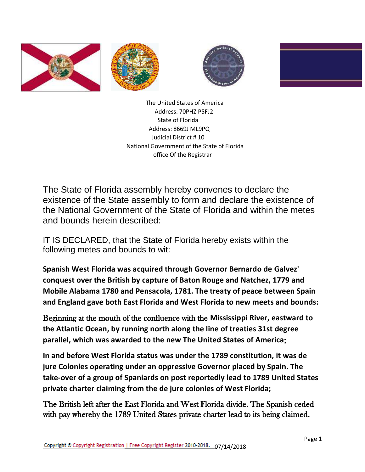







 The United States of America Address: 70PHZ P5FJ2 State of Florida Address: 8669J ML9PQ Judicial District # 10 National Government of the State of Florida office Of the Registrar

The State of Florida assembly hereby convenes to declare the existence of the State assembly to form and declare the existence of the National Government of the State of Florida and within the metes and bounds herein described:

IT IS DECLARED, that the State of Florida hereby exists within the following metes and bounds to wit:

**Spanish West Florida was acquired through Governor Bernardo de Galvez' conquest over the British by capture of Baton Rouge and Natchez, 1779 and Mobile Alabama 1780 and Pensacola, 1781. The treaty of peace between Spain and England gave both East Florida and West Florida to new meets and bounds:**

Beginning at the mouth of the confluence with the **Mississippi River, eastward to the Atlantic Ocean, by running north along the line of treaties 31st degree parallel, which was awarded to the new The United States of America**;

**In and before West Florida status was under the 1789 constitution, it was de jure Colonies operating under an oppressive Governor placed by Spain. The take-over of a group of Spaniards on post reportedly lead to 1789 United States private charter claiming from the de jure colonies of West Florida;**

The British left after the East Florida and West Florida divide. The Spanish ceded with pay whereby the 1789 United States private charter lead to its being claimed.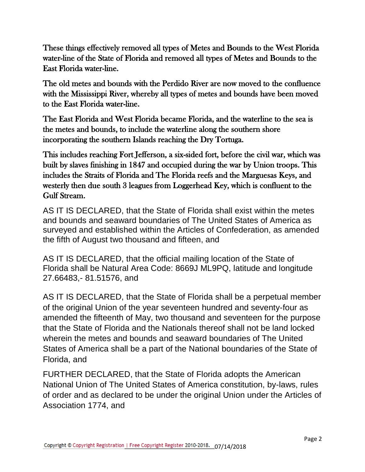These things effectively removed all types of Metes and Bounds to the West Florida water-line of the State of Florida and removed all types of Metes and Bounds to the East Florida water-line.

The old metes and bounds with the Perdido River are now moved to the confluence with the Mississippi River, whereby all types of metes and bounds have been moved to the East Florida water-line.

The East Florida and West Florida became Florida, and the waterline to the sea is the metes and bounds, to include the waterline along the southern shore incorporating the southern Islands reaching the Dry Tortuga.

This includes reaching Fort Jefferson, a six-sided fort, before the civil war, which was built by slaves finishing in 1847 and occupied during the war by Union troops. This includes the Straits of Florida and The Florida reefs and the Marguesas Keys, and westerly then due south 3 leagues from Loggerhead Key, which is confluent to the Gulf Stream.

AS IT IS DECLARED, that the State of Florida shall exist within the metes and bounds and seaward boundaries of The United States of America as surveyed and established within the Articles of Confederation, as amended the fifth of August two thousand and fifteen, and

AS IT IS DECLARED, that the official mailing location of the State of Florida shall be Natural Area Code: 8669J ML9PQ, latitude and longitude 27.66483,- 81.51576, and

AS IT IS DECLARED, that the State of Florida shall be a perpetual member of the original Union of the year seventeen hundred and seventy-four as amended the fifteenth of May, two thousand and seventeen for the purpose that the State of Florida and the Nationals thereof shall not be land locked wherein the metes and bounds and seaward boundaries of The United States of America shall be a part of the National boundaries of the State of Florida, and

FURTHER DECLARED, that the State of Florida adopts the American National Union of The United States of America constitution, by-laws, rules of order and as declared to be under the original Union under the Articles of Association 1774, and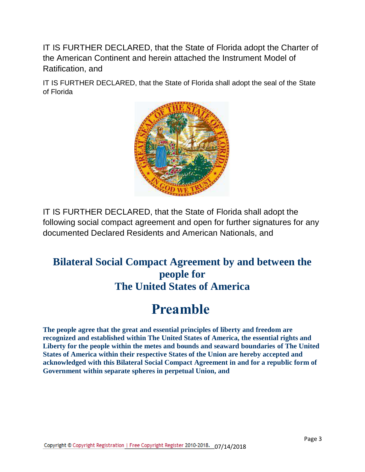IT IS FURTHER DECLARED, that the State of Florida adopt the Charter of the American Continent and herein attached the Instrument Model of Ratification, and

IT IS FURTHER DECLARED, that the State of Florida shall adopt the seal of the State of Florida



IT IS FURTHER DECLARED, that the State of Florida shall adopt the following social compact agreement and open for further signatures for any documented Declared Residents and American Nationals, and

#### **Bilateral Social Compact Agreement by and between the people for The United States of America**

# **Preamble**

**The people agree that the great and essential principles of liberty and freedom are recognized and established within The United States of America, the essential rights and Liberty for the people within the metes and bounds and seaward boundaries of The United States of America within their respective States of the Union are hereby accepted and acknowledged with this Bilateral Social Compact Agreement in and for a republic form of Government within separate spheres in perpetual Union, and**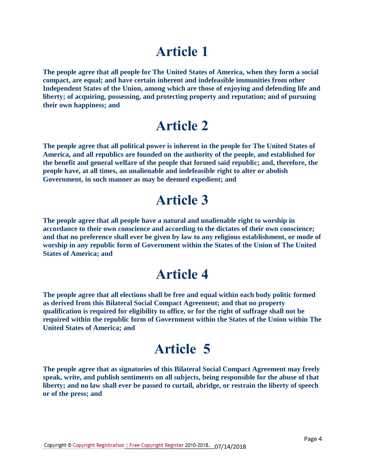**The people agree that all people for The United States of America, when they form a social compact, are equal; and have certain inherent and indefeasible immunities from other Independent States of the Union, among which are those of enjoying and defending life and liberty; of acquiring, possessing, and protecting property and reputation; and of pursuing their own happiness; and**

#### **Article 2**

**The people agree that all political power is inherent in the people for The United States of America, and all republics are founded on the authority of the people, and established for the benefit and general welfare of the people that formed said republic; and, therefore, the people have, at all times, an unalienable and indefeasible right to alter or abolish Government, in such manner as may be deemed expedient; and**

#### **Article 3**

**The people agree that all people have a natural and unalienable right to worship in accordance to their own conscience and according to the dictates of their own conscience; and that no preference shall ever be given by law to any religious establishment, or mode of worship in any republic form of Government within the States of the Union of The United States of America; and**

#### **Article 4**

**The people agree that all elections shall be free and equal within each body politic formed as derived from this Bilateral Social Compact Agreement; and that no property qualification is required for eligibility to office, or for the right of suffrage shall not be required within the republic form of Government within the States of the Union within The United States of America; and**

## **Article 5**

**The people agree that as signatories of this Bilateral Social Compact Agreement may freely speak, write, and publish sentiments on all subjects, being responsible for the abuse of that liberty; and no law shall ever be passed to curtail, abridge, or restrain the liberty of speech or of the press; and**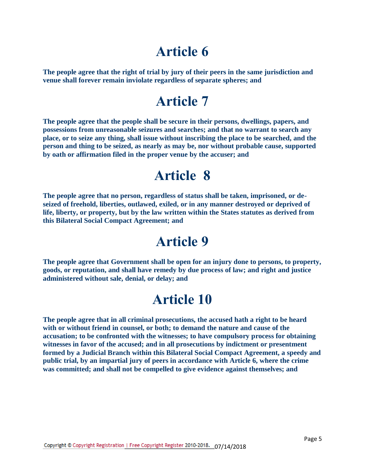**The people agree that the right of trial by jury of their peers in the same jurisdiction and venue shall forever remain inviolate regardless of separate spheres; and**

## **Article 7**

**The people agree that the people shall be secure in their persons, dwellings, papers, and possessions from unreasonable seizures and searches; and that no warrant to search any place, or to seize any thing, shall issue without inscribing the place to be searched, and the person and thing to be seized, as nearly as may be, nor without probable cause, supported by oath or affirmation filed in the proper venue by the accuser; and**

#### **Article 8**

**The people agree that no person, regardless of status shall be taken, imprisoned, or deseized of freehold, liberties, outlawed, exiled, or in any manner destroyed or deprived of life, liberty, or property, but by the law written within the States statutes as derived from this Bilateral Social Compact Agreement; and**

#### **Article 9**

**The people agree that Government shall be open for an injury done to persons, to property, goods, or reputation, and shall have remedy by due process of law; and right and justice administered without sale, denial, or delay; and**

## **Article 10**

**The people agree that in all criminal prosecutions, the accused hath a right to be heard with or without friend in counsel, or both; to demand the nature and cause of the accusation; to be confronted with the witnesses; to have compulsory process for obtaining witnesses in favor of the accused; and in all prosecutions by indictment or presentment formed by a Judicial Branch within this Bilateral Social Compact Agreement, a speedy and public trial, by an impartial jury of peers in accordance with Article 6, where the crime was committed; and shall not be compelled to give evidence against themselves; and**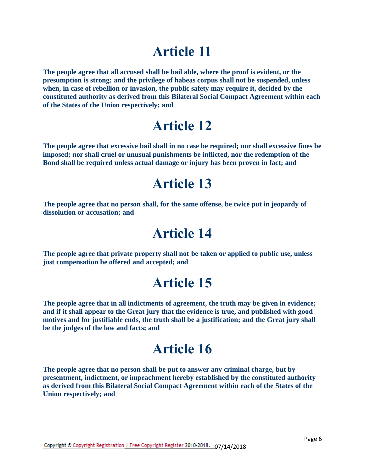**The people agree that all accused shall be bail able, where the proof is evident, or the presumption is strong; and the privilege of habeas corpus shall not be suspended, unless when, in case of rebellion or invasion, the public safety may require it, decided by the constituted authority as derived from this Bilateral Social Compact Agreement within each of the States of the Union respectively; and**

## **Article 12**

**The people agree that excessive bail shall in no case be required; nor shall excessive fines be imposed; nor shall cruel or unusual punishments be inflicted, nor the redemption of the Bond shall be required unless actual damage or injury has been proven in fact; and**

#### **Article 13**

**The people agree that no person shall, for the same offense, be twice put in jeopardy of dissolution or accusation; and**

#### **Article 14**

**The people agree that private property shall not be taken or applied to public use, unless just compensation be offered and accepted; and**

## **Article 15**

**The people agree that in all indictments of agreement, the truth may be given in evidence; and if it shall appear to the Great jury that the evidence is true, and published with good motives and for justifiable ends, the truth shall be a justification; and the Great jury shall be the judges of the law and facts; and**

## **Article 16**

**The people agree that no person shall be put to answer any criminal charge, but by presentment, indictment, or impeachment hereby established by the constituted authority as derived from this Bilateral Social Compact Agreement within each of the States of the Union respectively; and**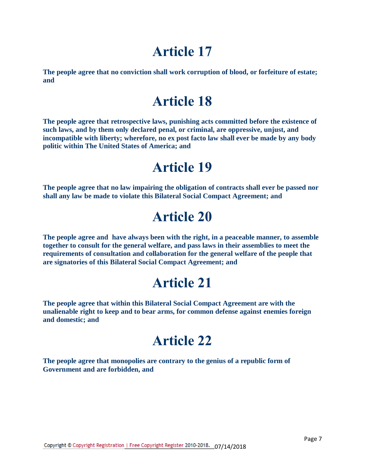**The people agree that no conviction shall work corruption of blood, or forfeiture of estate; and**

## **Article 18**

**The people agree that retrospective laws, punishing acts committed before the existence of such laws, and by them only declared penal, or criminal, are oppressive, unjust, and incompatible with liberty; wherefore, no ex post facto law shall ever be made by any body politic within The United States of America; and**

## **Article 19**

**The people agree that no law impairing the obligation of contracts shall ever be passed nor shall any law be made to violate this Bilateral Social Compact Agreement; and**

## **Article 20**

**The people agree and have always been with the right, in a peaceable manner, to assemble together to consult for the general welfare, and pass laws in their assemblies to meet the requirements of consultation and collaboration for the general welfare of the people that are signatories of this Bilateral Social Compact Agreement; and**

#### **Article 21**

**The people agree that within this Bilateral Social Compact Agreement are with the unalienable right to keep and to bear arms, for common defense against enemies foreign and domestic; and**

#### **Article 22**

**The people agree that monopolies are contrary to the genius of a republic form of Government and are forbidden, and**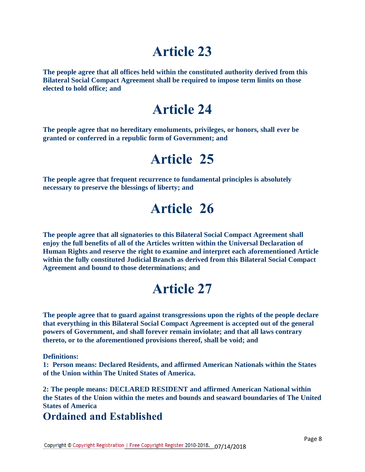**The people agree that all offices held within the constituted authority derived from this Bilateral Social Compact Agreement shall be required to impose term limits on those elected to hold office; and**

## **Article 24**

**The people agree that no hereditary emoluments, privileges, or honors, shall ever be granted or conferred in a republic form of Government; and**

## **Article 25**

**The people agree that frequent recurrence to fundamental principles is absolutely necessary to preserve the blessings of liberty; and**

## **Article 26**

**The people agree that all signatories to this Bilateral Social Compact Agreement shall enjoy the full benefits of all of the Articles written within the Universal Declaration of Human Rights and reserve the right to examine and interpret each aforementioned Article within the fully constituted Judicial Branch as derived from this Bilateral Social Compact Agreement and bound to those determinations; and**

## **Article 27**

**The people agree that to guard against transgressions upon the rights of the people declare that everything in this Bilateral Social Compact Agreement is accepted out of the general powers of Government, and shall forever remain inviolate; and that all laws contrary thereto, or to the aforementioned provisions thereof, shall be void; and**

**Definitions:**

**1: Person means: Declared Residents, and affirmed American Nationals within the States of the Union within The United States of America.**

**2: The people means: DECLARED RESIDENT and affirmed American National within the States of the Union within the metes and bounds and seaward boundaries of The United States of America** 

#### **Ordained and Established**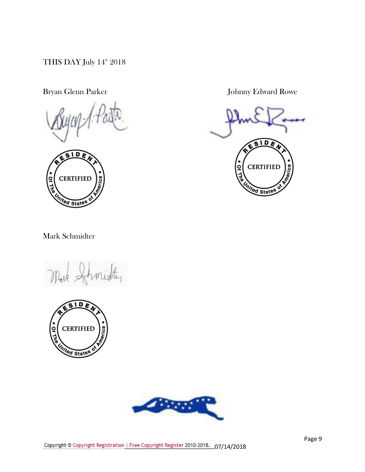THIS DAY July  $14^{\text{th}}$  2018



Bryan Glenn Parker Johnny Edward Rowe



Mark Schmidter